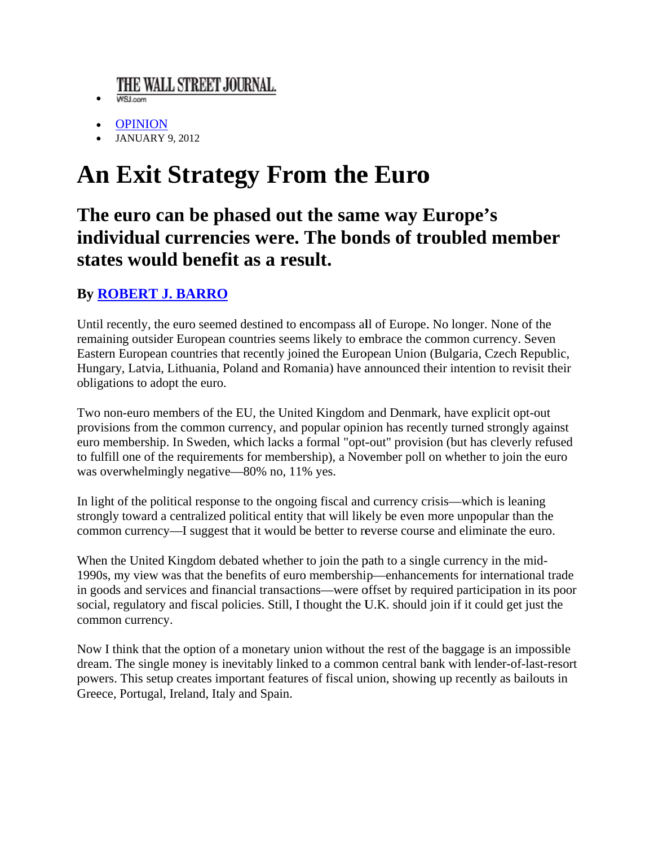## THE WALL STREET JOURNAL.

- WSJ.com
- **OPINION**
- **JANUARY 9, 2012**

## An Exit Strategy From the Euro

## The euro can be phased out the same way Europe's individual currencies were. The bonds of troubled member states would benefit as a result.

## **By ROBERT J. BARRO**

Until recently, the euro seemed destined to encompass all of Europe. No longer. None of the remaining outsider European countries seems likely to embrace the common currency. Seven Eastern European countries that recently joined the European Union (Bulgaria, Czech Republic, Hungary, Latvia, Lithuania, Poland and Romania) have announced their intention to revisit their obligations to adopt the euro.

Two non-euro members of the EU, the United Kingdom and Denmark, have explicit opt-out provisions from the common currency, and popular opinion has recently turned strongly against euro membership. In Sweden, which lacks a formal "opt-out" provision (but has cleverly refused to fulfill one of the requirements for membership), a November poll on whether to join the euro was overwhelmingly negative—80% no, 11% yes.

In light of the political response to the ongoing fiscal and currency crisis—which is leaning strongly toward a centralized political entity that will likely be even more unpopular than the common currency—I suggest that it would be better to reverse course and eliminate the euro.

When the United Kingdom debated whether to join the path to a single currency in the mid-1990s, my view was that the benefits of euro membership—enhancements for international trade in goods and services and financial transactions—were offset by required participation in its poor social, regulatory and fiscal policies. Still, I thought the U.K. should join if it could get just the common currency.

Now I think that the option of a monetary union without the rest of the baggage is an impossible dream. The single money is inevitably linked to a common central bank with lender-of-last-resort powers. This setup creates important features of fiscal union, showing up recently as bailouts in Greece, Portugal, Ireland, Italy and Spain.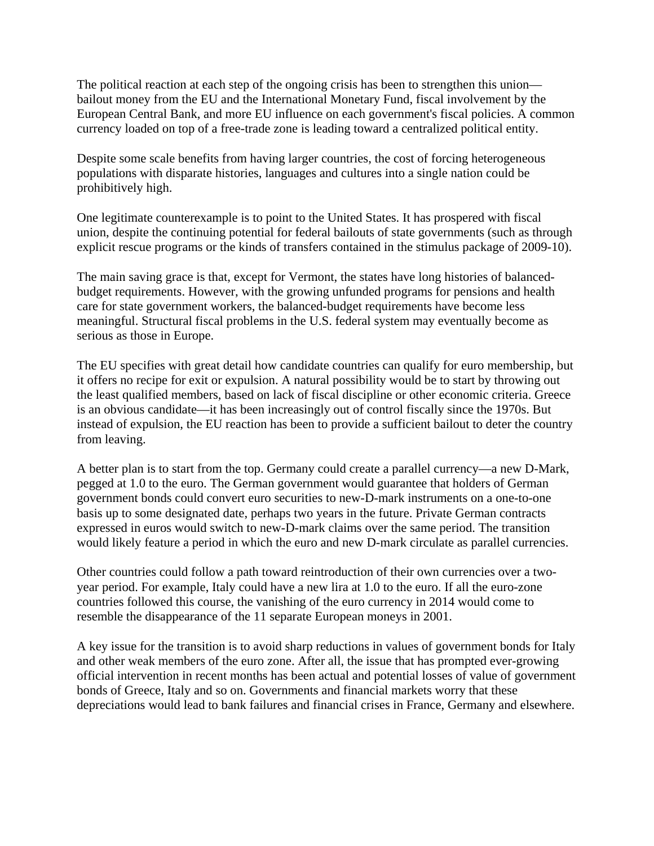The political reaction at each step of the ongoing crisis has been to strengthen this union bailout money from the EU and the International Monetary Fund, fiscal involvement by the European Central Bank, and more EU influence on each government's fiscal policies. A common currency loaded on top of a free-trade zone is leading toward a centralized political entity.

Despite some scale benefits from having larger countries, the cost of forcing heterogeneous populations with disparate histories, languages and cultures into a single nation could be prohibitively high.

One legitimate counterexample is to point to the United States. It has prospered with fiscal union, despite the continuing potential for federal bailouts of state governments (such as through explicit rescue programs or the kinds of transfers contained in the stimulus package of 2009-10).

The main saving grace is that, except for Vermont, the states have long histories of balancedbudget requirements. However, with the growing unfunded programs for pensions and health care for state government workers, the balanced-budget requirements have become less meaningful. Structural fiscal problems in the U.S. federal system may eventually become as serious as those in Europe.

The EU specifies with great detail how candidate countries can qualify for euro membership, but it offers no recipe for exit or expulsion. A natural possibility would be to start by throwing out the least qualified members, based on lack of fiscal discipline or other economic criteria. Greece is an obvious candidate—it has been increasingly out of control fiscally since the 1970s. But instead of expulsion, the EU reaction has been to provide a sufficient bailout to deter the country from leaving.

A better plan is to start from the top. Germany could create a parallel currency—a new D-Mark, pegged at 1.0 to the euro. The German government would guarantee that holders of German government bonds could convert euro securities to new-D-mark instruments on a one-to-one basis up to some designated date, perhaps two years in the future. Private German contracts expressed in euros would switch to new-D-mark claims over the same period. The transition would likely feature a period in which the euro and new D-mark circulate as parallel currencies.

Other countries could follow a path toward reintroduction of their own currencies over a twoyear period. For example, Italy could have a new lira at 1.0 to the euro. If all the euro-zone countries followed this course, the vanishing of the euro currency in 2014 would come to resemble the disappearance of the 11 separate European moneys in 2001.

A key issue for the transition is to avoid sharp reductions in values of government bonds for Italy and other weak members of the euro zone. After all, the issue that has prompted ever-growing official intervention in recent months has been actual and potential losses of value of government bonds of Greece, Italy and so on. Governments and financial markets worry that these depreciations would lead to bank failures and financial crises in France, Germany and elsewhere.